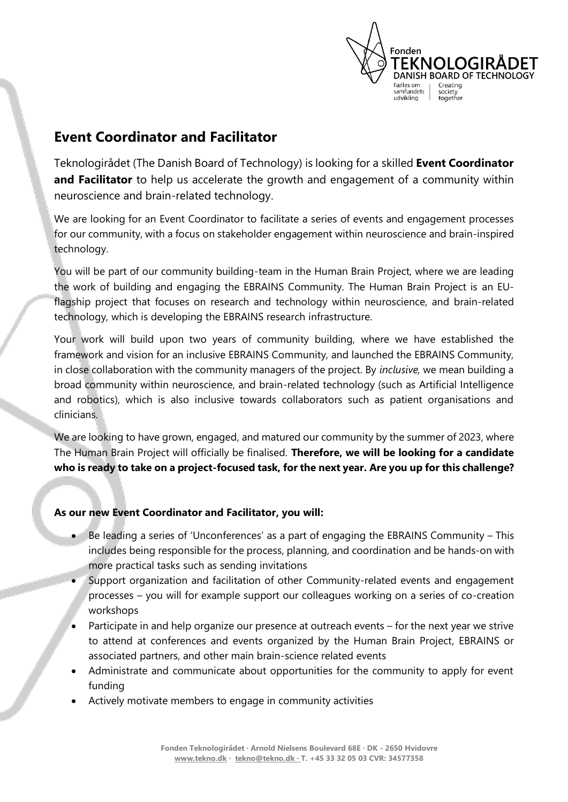

# **Event Coordinator and Facilitator**

Teknologirådet (The Danish Board of Technology) is looking for a skilled **Event Coordinator**  and Facilitator to help us accelerate the growth and engagement of a community within neuroscience and brain-related technology.

We are looking for an Event Coordinator to facilitate a series of events and engagement processes for our community, with a focus on stakeholder engagement within neuroscience and brain-inspired technology.

You will be part of our community building-team in the Human Brain Project, where we are leading the work of building and engaging the EBRAINS Community. The Human Brain Project is an EUflagship project that focuses on research and technology within neuroscience, and brain-related technology, which is developing the EBRAINS research infrastructure.

Your work will build upon two years of community building, where we have established the framework and vision for an inclusive EBRAINS Community, and launched the EBRAINS Community, in close collaboration with the community managers of the project. By *inclusive,* we mean building a broad community within neuroscience, and brain-related technology (such as Artificial Intelligence and robotics), which is also inclusive towards collaborators such as patient organisations and clinicians.

We are looking to have grown, engaged, and matured our community by the summer of 2023, where The Human Brain Project will officially be finalised. **Therefore, we will be looking for a candidate who is ready to take on a project-focused task, for the next year. Are you up for this challenge?**

## **As our new Event Coordinator and Facilitator, you will:**

- Be leading a series of 'Unconferences' as a part of engaging the EBRAINS Community This includes being responsible for the process, planning, and coordination and be hands-on with more practical tasks such as sending invitations
- Support organization and facilitation of other Community-related events and engagement processes – you will for example support our colleagues working on a series of co-creation workshops
- Participate in and help organize our presence at outreach events for the next year we strive to attend at conferences and events organized by the Human Brain Project, EBRAINS or associated partners, and other main brain-science related events
- Administrate and communicate about opportunities for the community to apply for event funding
- Actively motivate members to engage in community activities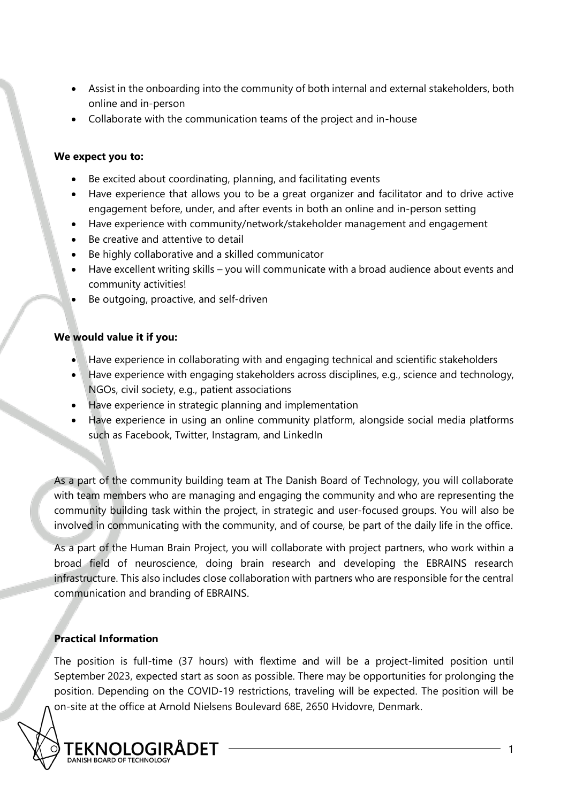- Assist in the onboarding into the community of both internal and external stakeholders, both online and in-person
- Collaborate with the communication teams of the project and in-house

## **We expect you to:**

- Be excited about coordinating, planning, and facilitating events
- Have experience that allows you to be a great organizer and facilitator and to drive active engagement before, under, and after events in both an online and in-person setting
- Have experience with community/network/stakeholder management and engagement
- Be creative and attentive to detail
- Be highly collaborative and a skilled communicator
- Have excellent writing skills you will communicate with a broad audience about events and community activities!
- Be outgoing, proactive, and self-driven

## **We would value it if you:**

- Have experience in collaborating with and engaging technical and scientific stakeholders
- Have experience with engaging stakeholders across disciplines, e.g., science and technology, NGOs, civil society, e.g., patient associations
- Have experience in strategic planning and implementation
- Have experience in using an online community platform, alongside social media platforms such as Facebook, Twitter, Instagram, and LinkedIn

As a part of the community building team at The Danish Board of Technology, you will collaborate with team members who are managing and engaging the community and who are representing the community building task within the project, in strategic and user-focused groups. You will also be involved in communicating with the community, and of course, be part of the daily life in the office.

As a part of the Human Brain Project, you will collaborate with project partners, who work within a broad field of neuroscience, doing brain research and developing the EBRAINS research infrastructure. This also includes close collaboration with partners who are responsible for the central communication and branding of EBRAINS.

## **Practical Information**

The position is full-time (37 hours) with flextime and will be a project-limited position until September 2023, expected start as soon as possible. There may be opportunities for prolonging the position. Depending on the COVID-19 restrictions, traveling will be expected. The position will be on-site at the office at Arnold Nielsens Boulevard 68E, 2650 Hvidovre, Denmark.